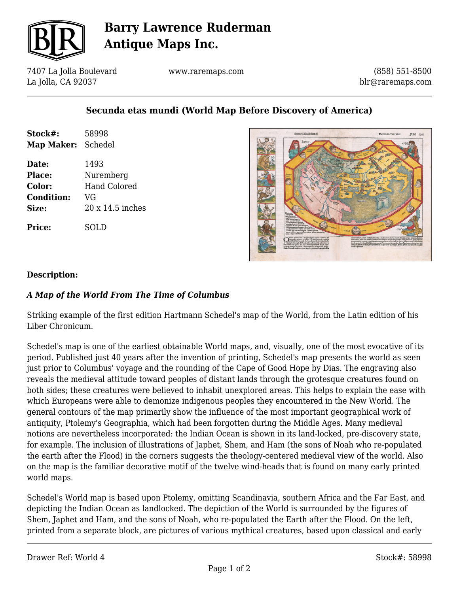

# **Barry Lawrence Ruderman Antique Maps Inc.**

7407 La Jolla Boulevard La Jolla, CA 92037

www.raremaps.com

(858) 551-8500 blr@raremaps.com

## **Secunda etas mundi (World Map Before Discovery of America)**

| Stock#:           | 58998                   |
|-------------------|-------------------------|
| <b>Map Maker:</b> | Schedel                 |
| Date:             | 1493                    |
| <b>Place:</b>     | Nuremberg               |
| Color:            | <b>Hand Colored</b>     |
| <b>Condition:</b> | VG                      |
| Size:             | $20 \times 14.5$ inches |
| Price:            | SOLD                    |



#### **Description:**

### *A Map of the World From The Time of Columbus*

Striking example of the first edition Hartmann Schedel's map of the World, from the Latin edition of his Liber Chronicum.

Schedel's map is one of the earliest obtainable World maps, and, visually, one of the most evocative of its period. Published just 40 years after the invention of printing, Schedel's map presents the world as seen just prior to Columbus' voyage and the rounding of the Cape of Good Hope by Dias. The engraving also reveals the medieval attitude toward peoples of distant lands through the grotesque creatures found on both sides; these creatures were believed to inhabit unexplored areas. This helps to explain the ease with which Europeans were able to demonize indigenous peoples they encountered in the New World. The general contours of the map primarily show the influence of the most important geographical work of antiquity, Ptolemy's Geographia, which had been forgotten during the Middle Ages. Many medieval notions are nevertheless incorporated: the Indian Ocean is shown in its land-locked, pre-discovery state, for example. The inclusion of illustrations of Japhet, Shem, and Ham (the sons of Noah who re-populated the earth after the Flood) in the corners suggests the theology-centered medieval view of the world. Also on the map is the familiar decorative motif of the twelve wind-heads that is found on many early printed world maps.

Schedel's World map is based upon Ptolemy, omitting Scandinavia, southern Africa and the Far East, and depicting the Indian Ocean as landlocked. The depiction of the World is surrounded by the figures of Shem, Japhet and Ham, and the sons of Noah, who re-populated the Earth after the Flood. On the left, printed from a separate block, are pictures of various mythical creatures, based upon classical and early